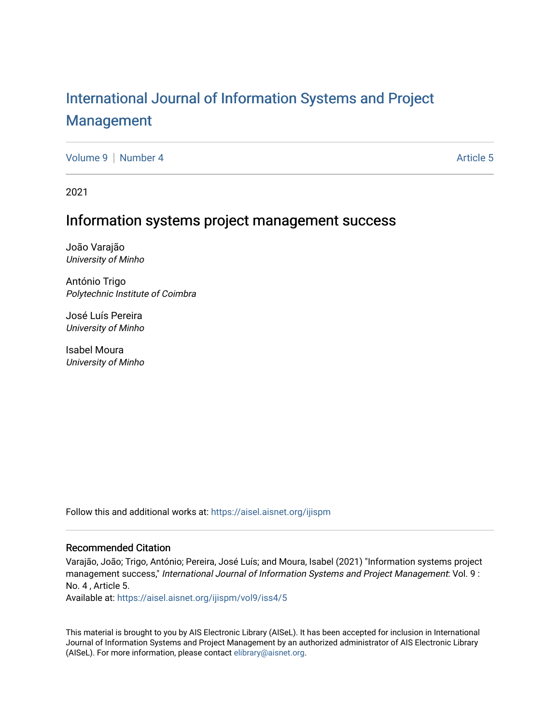# [International Journal of Information Systems and Project](https://aisel.aisnet.org/ijispm)  [Management](https://aisel.aisnet.org/ijispm)

[Volume 9](https://aisel.aisnet.org/ijispm/vol9) [Number 4](https://aisel.aisnet.org/ijispm/vol9/iss4) Article 5

2021

# Information systems project management success

João Varajão University of Minho

António Trigo Polytechnic Institute of Coimbra

José Luís Pereira University of Minho

Isabel Moura University of Minho

Follow this and additional works at: [https://aisel.aisnet.org/ijispm](https://aisel.aisnet.org/ijispm?utm_source=aisel.aisnet.org%2Fijispm%2Fvol9%2Fiss4%2F5&utm_medium=PDF&utm_campaign=PDFCoverPages) 

# Recommended Citation

Varajão, João; Trigo, António; Pereira, José Luís; and Moura, Isabel (2021) "Information systems project management success," International Journal of Information Systems and Project Management: Vol. 9 : No. 4 , Article 5.

Available at: [https://aisel.aisnet.org/ijispm/vol9/iss4/5](https://aisel.aisnet.org/ijispm/vol9/iss4/5?utm_source=aisel.aisnet.org%2Fijispm%2Fvol9%2Fiss4%2F5&utm_medium=PDF&utm_campaign=PDFCoverPages) 

This material is brought to you by AIS Electronic Library (AISeL). It has been accepted for inclusion in International Journal of Information Systems and Project Management by an authorized administrator of AIS Electronic Library (AISeL). For more information, please contact [elibrary@aisnet.org](mailto:elibrary@aisnet.org%3E).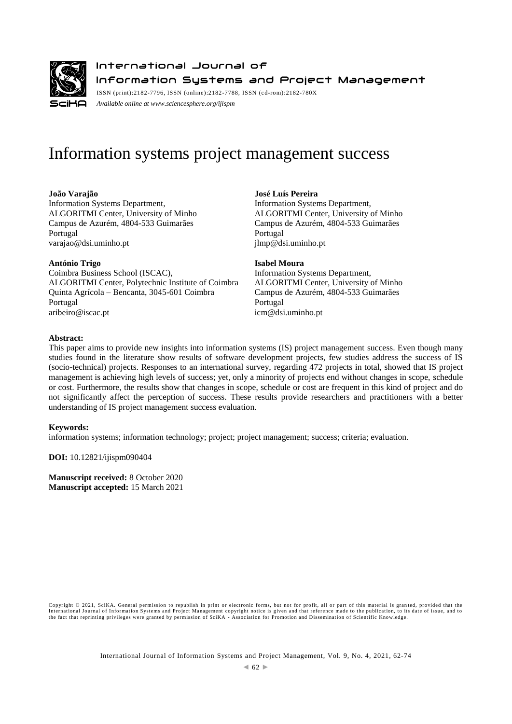

# International Journal of Information Systems and Project Management

ISSN (print):2182-7796, ISSN (online):2182-7788, ISSN (cd-rom):2182-780X *Available online a[t www.sciencesphere.org/ijispm](http://www.sciencesphere.org/ijispm)*

# Information systems project management success

# **João Varajão**

Information Systems Department, ALGORITMI Center, University of Minho Campus de Azurém, 4804-533 Guimarães Portugal varajao@dsi.uminho.pt

**António Trigo** Coimbra Business School (ISCAC), ALGORITMI Center, Polytechnic Institute of Coimbra Quinta Agrícola – Bencanta, 3045-601 Coimbra Portugal aribeiro@iscac.pt

**José Luís Pereira** Information Systems Department, ALGORITMI Center, University of Minho Campus de Azurém, 4804-533 Guimarães Portugal jlmp@dsi.uminho.pt

**Isabel Moura**

Information Systems Department, ALGORITMI Center, University of Minho Campus de Azurém, 4804-533 Guimarães Portugal icm@dsi.uminho.pt

# **Abstract:**

This paper aims to provide new insights into information systems (IS) project management success. Even though many studies found in the literature show results of software development projects, few studies address the success of IS (socio-technical) projects. Responses to an international survey, regarding 472 projects in total, showed that IS project management is achieving high levels of success; yet, only a minority of projects end without changes in scope, schedule or cost. Furthermore, the results show that changes in scope, schedule or cost are frequent in this kind of project and do not significantly affect the perception of success. These results provide researchers and practitioners with a better understanding of IS project management success evaluation.

# **Keywords:**

information systems; information technology; project; project management; success; criteria; evaluation.

**DOI:** 10.12821/ijispm090404

**Manuscript received:** 8 October 2020 **Manuscript accepted:** 15 March 2021

Copyright © 2021, SciKA. General permission to republish in print or electronic forms, but not for profit, all or part of this material is granted, provided that the<br>International Journal of Information Systems and Project the fact that reprinting privileges were granted by permission of SciKA - Association for Promotion and Dissemination of Scientific Knowledge.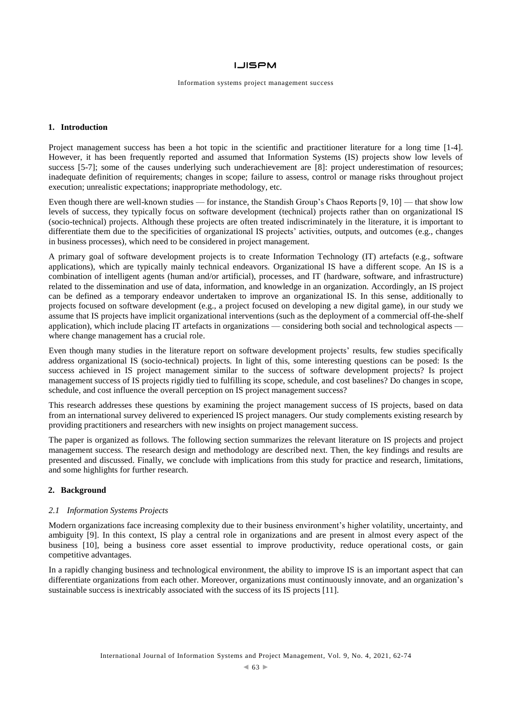#### Information systems project management success

#### **1. Introduction**

Project management success has been a hot topic in the scientific and practitioner literature for a long time [1-4]. However, it has been frequently reported and assumed that Information Systems (IS) projects show low levels of success [5-7]; some of the causes underlying such underachievement are [8]: project underestimation of resources; inadequate definition of requirements; changes in scope; failure to assess, control or manage risks throughout project execution; unrealistic expectations; inappropriate methodology, etc.

Even though there are well-known studies — for instance, the Standish Group's Chaos Reports [9, 10] — that show low levels of success, they typically focus on software development (technical) projects rather than on organizational IS (socio-technical) projects. Although these projects are often treated indiscriminately in the literature, it is important to differentiate them due to the specificities of organizational IS projects' activities, outputs, and outcomes (e.g., changes in business processes), which need to be considered in project management.

A primary goal of software development projects is to create Information Technology (IT) artefacts (e.g., software applications), which are typically mainly technical endeavors. Organizational IS have a different scope. An IS is a combination of intelligent agents (human and/or artificial), processes, and IT (hardware, software, and infrastructure) related to the dissemination and use of data, information, and knowledge in an organization. Accordingly, an IS project can be defined as a temporary endeavor undertaken to improve an organizational IS. In this sense, additionally to projects focused on software development (e.g., a project focused on developing a new digital game), in our study we assume that IS projects have implicit organizational interventions (such as the deployment of a commercial off-the-shelf application), which include placing IT artefacts in organizations — considering both social and technological aspects where change management has a crucial role.

Even though many studies in the literature report on software development projects' results, few studies specifically address organizational IS (socio-technical) projects. In light of this, some interesting questions can be posed: Is the success achieved in IS project management similar to the success of software development projects? Is project management success of IS projects rigidly tied to fulfilling its scope, schedule, and cost baselines? Do changes in scope, schedule, and cost influence the overall perception on IS project management success?

This research addresses these questions by examining the project management success of IS projects, based on data from an international survey delivered to experienced IS project managers. Our study complements existing research by providing practitioners and researchers with new insights on project management success.

The paper is organized as follows. The following section summarizes the relevant literature on IS projects and project management success. The research design and methodology are described next. Then, the key findings and results are presented and discussed. Finally, we conclude with implications from this study for practice and research, limitations, and some highlights for further research.

## **2. Background**

#### *2.1 Information Systems Projects*

Modern organizations face increasing complexity due to their business environment's higher volatility, uncertainty, and ambiguity [9]. In this context, IS play a central role in organizations and are present in almost every aspect of the business [10], being a business core asset essential to improve productivity, reduce operational costs, or gain competitive advantages.

In a rapidly changing business and technological environment, the ability to improve IS is an important aspect that can differentiate organizations from each other. Moreover, organizations must continuously innovate, and an organization's sustainable success is inextricably associated with the success of its IS projects [11].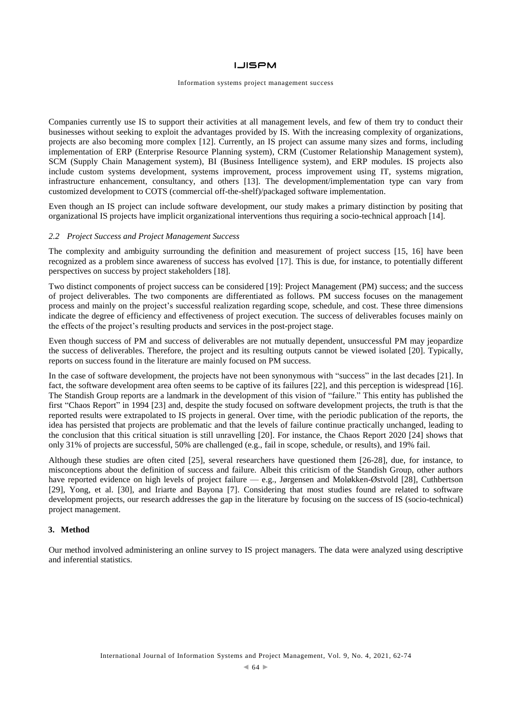#### Information systems project management success

Companies currently use IS to support their activities at all management levels, and few of them try to conduct their businesses without seeking to exploit the advantages provided by IS. With the increasing complexity of organizations, projects are also becoming more complex [12]. Currently, an IS project can assume many sizes and forms, including implementation of ERP (Enterprise Resource Planning system), CRM (Customer Relationship Management system), SCM (Supply Chain Management system), BI (Business Intelligence system), and ERP modules. IS projects also include custom systems development, systems improvement, process improvement using IT, systems migration, infrastructure enhancement, consultancy, and others [13]. The development/implementation type can vary from customized development to COTS (commercial off-the-shelf)/packaged software implementation.

Even though an IS project can include software development, our study makes a primary distinction by positing that organizational IS projects have implicit organizational interventions thus requiring a socio-technical approach [14].

#### *2.2 Project Success and Project Management Success*

The complexity and ambiguity surrounding the definition and measurement of project success [15, 16] have been recognized as a problem since awareness of success has evolved [17]. This is due, for instance, to potentially different perspectives on success by project stakeholders [18].

Two distinct components of project success can be considered [19]: Project Management (PM) success; and the success of project deliverables. The two components are differentiated as follows. PM success focuses on the management process and mainly on the project's successful realization regarding scope, schedule, and cost. These three dimensions indicate the degree of efficiency and effectiveness of project execution. The success of deliverables focuses mainly on the effects of the project's resulting products and services in the post-project stage.

Even though success of PM and success of deliverables are not mutually dependent, unsuccessful PM may jeopardize the success of deliverables. Therefore, the project and its resulting outputs cannot be viewed isolated [20]. Typically, reports on success found in the literature are mainly focused on PM success.

In the case of software development, the projects have not been synonymous with "success" in the last decades [21]. In fact, the software development area often seems to be captive of its failures [22], and this perception is widespread [16]. The Standish Group reports are a landmark in the development of this vision of "failure." This entity has published the first "Chaos Report" in 1994 [23] and, despite the study focused on software development projects, the truth is that the reported results were extrapolated to IS projects in general. Over time, with the periodic publication of the reports, the idea has persisted that projects are problematic and that the levels of failure continue practically unchanged, leading to the conclusion that this critical situation is still unravelling [20]. For instance, the Chaos Report 2020 [24] shows that only 31% of projects are successful, 50% are challenged (e.g., fail in scope, schedule, or results), and 19% fail.

Although these studies are often cited [25], several researchers have questioned them [26-28], due, for instance, to misconceptions about the definition of success and failure. Albeit this criticism of the Standish Group, other authors have reported evidence on high levels of project failure — e.g., Jørgensen and Moløkken-Østvold [28], Cuthbertson [29], Yong, et al. [30], and Iriarte and Bayona [7]. Considering that most studies found are related to software development projects, our research addresses the gap in the literature by focusing on the success of IS (socio-technical) project management.

## **3. Method**

Our method involved administering an online survey to IS project managers. The data were analyzed using descriptive and inferential statistics.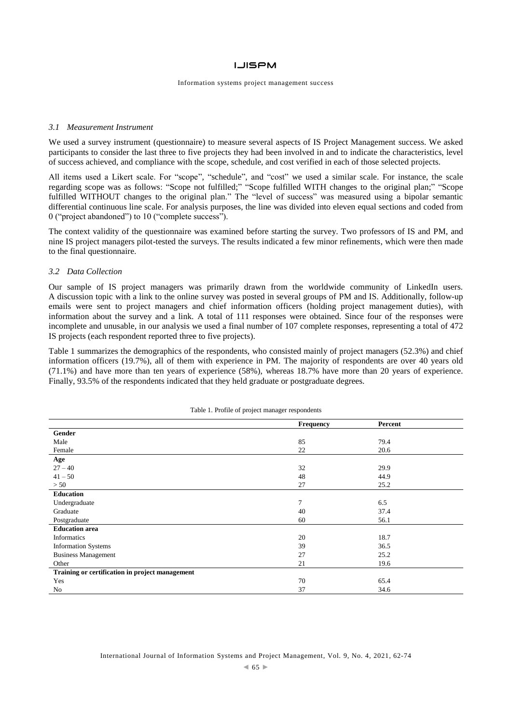#### Information systems project management success

#### *3.1 Measurement Instrument*

We used a survey instrument (questionnaire) to measure several aspects of IS Project Management success. We asked participants to consider the last three to five projects they had been involved in and to indicate the characteristics, level of success achieved, and compliance with the scope, schedule, and cost verified in each of those selected projects.

All items used a Likert scale. For "scope", "schedule", and "cost" we used a similar scale. For instance, the scale regarding scope was as follows: "Scope not fulfilled;" "Scope fulfilled WITH changes to the original plan;" "Scope fulfilled WITHOUT changes to the original plan." The "level of success" was measured using a bipolar semantic differential continuous line scale. For analysis purposes, the line was divided into eleven equal sections and coded from 0 ("project abandoned") to 10 ("complete success").

The context validity of the questionnaire was examined before starting the survey. Two professors of IS and PM, and nine IS project managers pilot-tested the surveys. The results indicated a few minor refinements, which were then made to the final questionnaire.

#### *3.2 Data Collection*

Our sample of IS project managers was primarily drawn from the worldwide community of LinkedIn users. A discussion topic with a link to the online survey was posted in several groups of PM and IS. Additionally, follow-up emails were sent to project managers and chief information officers (holding project management duties), with information about the survey and a link. A total of 111 responses were obtained. Since four of the responses were incomplete and unusable, in our analysis we used a final number of 107 complete responses, representing a total of 472 IS projects (each respondent reported three to five projects).

Table 1 summarizes the demographics of the respondents, who consisted mainly of project managers (52.3%) and chief information officers (19.7%), all of them with experience in PM. The majority of respondents are over 40 years old (71.1%) and have more than ten years of experience (58%), whereas 18.7% have more than 20 years of experience. Finally, 93.5% of the respondents indicated that they held graduate or postgraduate degrees.

|                                                 | Frequency | Percent |
|-------------------------------------------------|-----------|---------|
| Gender                                          |           |         |
| Male                                            | 85        | 79.4    |
| Female                                          | 22        | 20.6    |
| Age                                             |           |         |
| $27 - 40$                                       | 32        | 29.9    |
| $41 - 50$                                       | 48        | 44.9    |
| > 50                                            | 27        | 25.2    |
| <b>Education</b>                                |           |         |
| Undergraduate                                   | 7         | 6.5     |
| Graduate                                        | 40        | 37.4    |
| Postgraduate                                    | 60        | 56.1    |
| <b>Education area</b>                           |           |         |
| <b>Informatics</b>                              | 20        | 18.7    |
| <b>Information Systems</b>                      | 39        | 36.5    |
| <b>Business Management</b>                      | 27        | 25.2    |
| Other                                           | 21        | 19.6    |
| Training or certification in project management |           |         |
| Yes                                             | 70        | 65.4    |
| No                                              | 37        | 34.6    |

Table 1. Profile of project manager respondents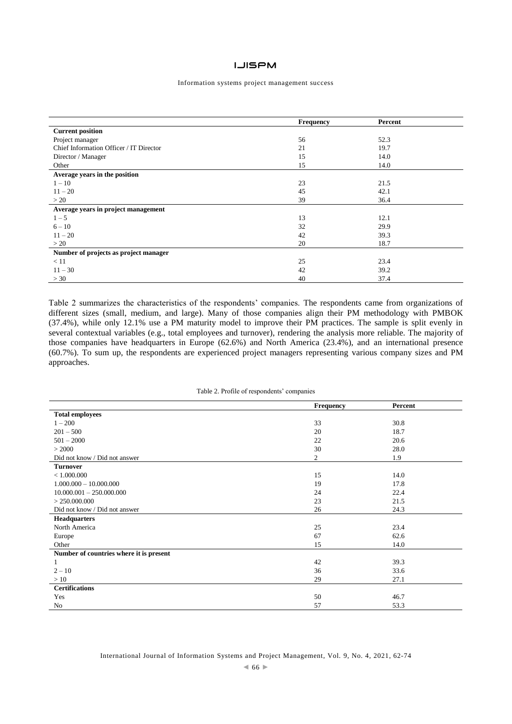#### Information systems project management success

|                                         | Frequency | Percent |
|-----------------------------------------|-----------|---------|
| <b>Current position</b>                 |           |         |
| Project manager                         | 56        | 52.3    |
| Chief Information Officer / IT Director | 21        | 19.7    |
| Director / Manager                      | 15        | 14.0    |
| Other                                   | 15        | 14.0    |
| Average years in the position           |           |         |
| $1 - 10$                                | 23        | 21.5    |
| $11 - 20$                               | 45        | 42.1    |
| >20                                     | 39        | 36.4    |
| Average years in project management     |           |         |
| $1 - 5$                                 | 13        | 12.1    |
| $6 - 10$                                | 32        | 29.9    |
| $11 - 20$                               | 42        | 39.3    |
| >20                                     | 20        | 18.7    |
| Number of projects as project manager   |           |         |
| < 11                                    | 25        | 23.4    |
| $11 - 30$                               | 42        | 39.2    |
| >30                                     | 40        | 37.4    |

Table 2 summarizes the characteristics of the respondents' companies. The respondents came from organizations of different sizes (small, medium, and large). Many of those companies align their PM methodology with PMBOK (37.4%), while only 12.1% use a PM maturity model to improve their PM practices. The sample is split evenly in several contextual variables (e.g., total employees and turnover), rendering the analysis more reliable. The majority of those companies have headquarters in Europe (62.6%) and North America (23.4%), and an international presence (60.7%). To sum up, the respondents are experienced project managers representing various company sizes and PM approaches.

#### Table 2. Profile of respondents' companies

|                                         | <b>Frequency</b> | Percent |
|-----------------------------------------|------------------|---------|
| <b>Total employees</b>                  |                  |         |
| $1 - 200$                               | 33               | 30.8    |
| $201 - 500$                             | 20               | 18.7    |
| $501 - 2000$                            | 22               | 20.6    |
| > 2000                                  | 30               | 28.0    |
| Did not know / Did not answer           | $\overline{c}$   | 1.9     |
| <b>Turnover</b>                         |                  |         |
| < 1.000.000                             | 15               | 14.0    |
| $1.000.000 - 10.000.000$                | 19               | 17.8    |
| $10.000.001 - 250.000.000$              | 24               | 22.4    |
| > 250.000.000                           | 23               | 21.5    |
| Did not know / Did not answer           | 26               | 24.3    |
| <b>Headquarters</b>                     |                  |         |
| North America                           | 25               | 23.4    |
| Europe                                  | 67               | 62.6    |
| Other                                   | 15               | 14.0    |
| Number of countries where it is present |                  |         |
| 1                                       | 42               | 39.3    |
| $2 - 10$                                | 36               | 33.6    |
| >10                                     | 29               | 27.1    |
| <b>Certifications</b>                   |                  |         |
| Yes                                     | 50               | 46.7    |
| No                                      | 57               | 53.3    |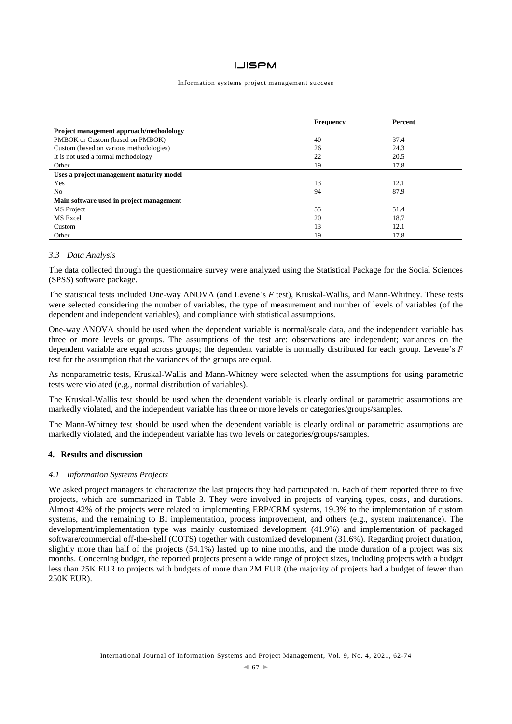#### Information systems project management success

|                                          | <b>Frequency</b> | Percent |
|------------------------------------------|------------------|---------|
| Project management approach/methodology  |                  |         |
| PMBOK or Custom (based on PMBOK)         | 40               | 37.4    |
| Custom (based on various methodologies)  | 26               | 24.3    |
| It is not used a formal methodology      | 22               | 20.5    |
| Other                                    | 19               | 17.8    |
| Uses a project management maturity model |                  |         |
| Yes                                      | 13               | 12.1    |
| No                                       | 94               | 87.9    |
| Main software used in project management |                  |         |
| MS Project                               | 55               | 51.4    |
| MS Excel                                 | 20               | 18.7    |
| Custom                                   | 13               | 12.1    |
| Other                                    | 19               | 17.8    |

# *3.3 Data Analysis*

The data collected through the questionnaire survey were analyzed using the Statistical Package for the Social Sciences (SPSS) software package.

The statistical tests included One-way ANOVA (and Levene's *F* test), Kruskal-Wallis, and Mann-Whitney. These tests were selected considering the number of variables, the type of measurement and number of levels of variables (of the dependent and independent variables), and compliance with statistical assumptions.

One-way ANOVA should be used when the dependent variable is normal/scale data, and the independent variable has three or more levels or groups. The assumptions of the test are: observations are independent; variances on the dependent variable are equal across groups; the dependent variable is normally distributed for each group. Levene's *F* test for the assumption that the variances of the groups are equal.

As nonparametric tests, Kruskal-Wallis and Mann-Whitney were selected when the assumptions for using parametric tests were violated (e.g., normal distribution of variables).

The Kruskal-Wallis test should be used when the dependent variable is clearly ordinal or parametric assumptions are markedly violated, and the independent variable has three or more levels or categories/groups/samples.

The Mann-Whitney test should be used when the dependent variable is clearly ordinal or parametric assumptions are markedly violated, and the independent variable has two levels or categories/groups/samples.

#### **4. Results and discussion**

#### *4.1 Information Systems Projects*

We asked project managers to characterize the last projects they had participated in. Each of them reported three to five projects, which are summarized in Table 3. They were involved in projects of varying types, costs, and durations. Almost 42% of the projects were related to implementing ERP/CRM systems, 19.3% to the implementation of custom systems, and the remaining to BI implementation, process improvement, and others (e.g., system maintenance). The development/implementation type was mainly customized development (41.9%) and implementation of packaged software/commercial off-the-shelf (COTS) together with customized development (31.6%). Regarding project duration, slightly more than half of the projects (54.1%) lasted up to nine months, and the mode duration of a project was six months. Concerning budget, the reported projects present a wide range of project sizes, including projects with a budget less than 25K EUR to projects with budgets of more than 2M EUR (the majority of projects had a budget of fewer than 250K EUR).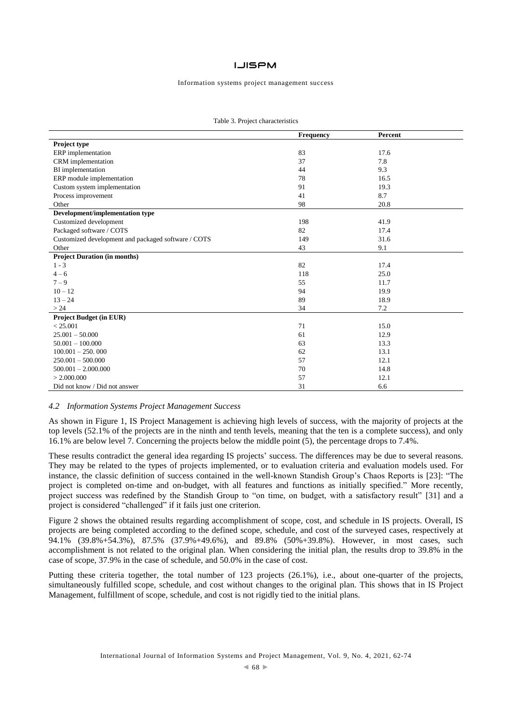#### Information systems project management success

|                                                     | Frequency | Percent |
|-----------------------------------------------------|-----------|---------|
| Project type                                        |           |         |
| ERP implementation                                  | 83        | 17.6    |
| CRM implementation                                  | 37        | 7.8     |
| BI implementation                                   | 44        | 9.3     |
| ERP module implementation                           | 78        | 16.5    |
| Custom system implementation                        | 91        | 19.3    |
| Process improvement                                 | 41        | 8.7     |
| Other                                               | 98        | 20.8    |
| Development/implementation type                     |           |         |
| Customized development                              | 198       | 41.9    |
| Packaged software / COTS                            | 82        | 17.4    |
| Customized development and packaged software / COTS | 149       | 31.6    |
| Other                                               | 43        | 9.1     |
| <b>Project Duration (in months)</b>                 |           |         |
| $1 - 3$                                             | 82        | 17.4    |
| $4 - 6$                                             | 118       | 25.0    |
| $7 - 9$                                             | 55        | 11.7    |
| $10 - 12$                                           | 94        | 19.9    |
| $13 - 24$                                           | 89        | 18.9    |
| > 24                                                | 34        | 7.2     |
| <b>Project Budget (in EUR)</b>                      |           |         |
| < 25.001                                            | 71        | 15.0    |
| $25.001 - 50.000$                                   | 61        | 12.9    |
| $50.001 - 100.000$                                  | 63        | 13.3    |
| $100.001 - 250.000$                                 | 62        | 13.1    |
| $250.001 - 500.000$                                 | 57        | 12.1    |
| $500.001 - 2.000.000$                               | 70        | 14.8    |
| > 2.000.000                                         | 57        | 12.1    |
| Did not know / Did not answer                       | 31        | 6.6     |

#### *4.2 Information Systems Project Management Success*

As shown in Figure 1, IS Project Management is achieving high levels of success, with the majority of projects at the top levels (52.1% of the projects are in the ninth and tenth levels, meaning that the ten is a complete success), and only 16.1% are below level 7. Concerning the projects below the middle point (5), the percentage drops to 7.4%.

These results contradict the general idea regarding IS projects' success. The differences may be due to several reasons. They may be related to the types of projects implemented, or to evaluation criteria and evaluation models used. For instance, the classic definition of success contained in the well-known Standish Group's Chaos Reports is [23]: "The project is completed on-time and on-budget, with all features and functions as initially specified." More recently, project success was redefined by the Standish Group to "on time, on budget, with a satisfactory result" [31] and a project is considered "challenged" if it fails just one criterion.

Figure 2 shows the obtained results regarding accomplishment of scope, cost, and schedule in IS projects. Overall, IS projects are being completed according to the defined scope, schedule, and cost of the surveyed cases, respectively at 94.1% (39.8%+54.3%), 87.5% (37.9%+49.6%), and 89.8% (50%+39.8%). However, in most cases, such accomplishment is not related to the original plan. When considering the initial plan, the results drop to 39.8% in the case of scope, 37.9% in the case of schedule, and 50.0% in the case of cost.

Putting these criteria together, the total number of 123 projects (26.1%), i.e., about one-quarter of the projects, simultaneously fulfilled scope, schedule, and cost without changes to the original plan. This shows that in IS Project Management, fulfillment of scope, schedule, and cost is not rigidly tied to the initial plans.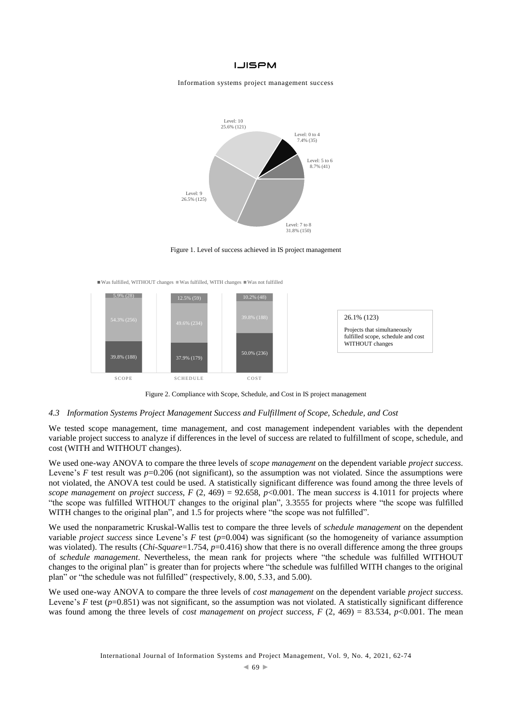Information systems project management success



Figure 1. Level of success achieved in IS project management

Was fulfilled, WITHOUT changes Was fulfilled, WITH changes Was not fulfilled



Figure 2. Compliance with Scope, Schedule, and Cost in IS project management

## *4.3 Information Systems Project Management Success and Fulfillment of Scope, Schedule, and Cost*

We tested scope management, time management, and cost management independent variables with the dependent variable project success to analyze if differences in the level of success are related to fulfillment of scope, schedule, and cost (WITH and WITHOUT changes).

We used one-way ANOVA to compare the three levels of *scope management* on the dependent variable *project success*. Levene's *F* test result was *p*=0.206 (not significant), so the assumption was not violated. Since the assumptions were not violated, the ANOVA test could be used. A statistically significant difference was found among the three levels of *scope management* on *project success*,  $F(2, 469) = 92.658$ ,  $p<0.001$ . The mean *success* is 4.1011 for projects where "the scope was fulfilled WITHOUT changes to the original plan", 3.3555 for projects where "the scope was fulfilled WITH changes to the original plan", and 1.5 for projects where "the scope was not fulfilled".

We used the nonparametric Kruskal-Wallis test to compare the three levels of *schedule management* on the dependent variable *project success* since Levene's *F* test (*p*=0.004) was significant (so the homogeneity of variance assumption was violated). The results (*Chi-Square*=1.754, *p*=0.416) show that there is no overall difference among the three groups of *schedule management*. Nevertheless, the mean rank for projects where "the schedule was fulfilled WITHOUT changes to the original plan" is greater than for projects where "the schedule was fulfilled WITH changes to the original plan" or "the schedule was not fulfilled" (respectively, 8.00, 5.33, and 5.00).

We used one-way ANOVA to compare the three levels of *cost management* on the dependent variable *project success*. Levene's  $F$  test ( $p=0.851$ ) was not significant, so the assumption was not violated. A statistically significant difference was found among the three levels of *cost management* on *project success*, *F* (2, 469) = 83.534, *p*<0.001. The mean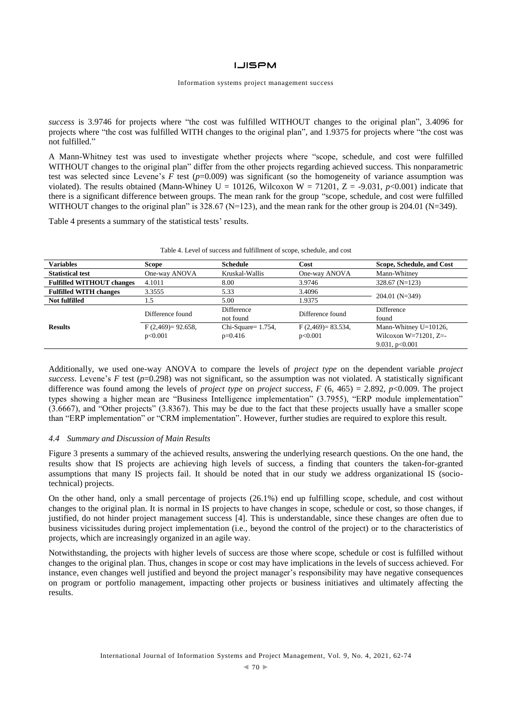#### Information systems project management success

*success* is 3.9746 for projects where "the cost was fulfilled WITHOUT changes to the original plan", 3.4096 for projects where "the cost was fulfilled WITH changes to the original plan", and 1.9375 for projects where "the cost was not fulfilled."

A Mann-Whitney test was used to investigate whether projects where "scope, schedule, and cost were fulfilled WITHOUT changes to the original plan" differ from the other projects regarding achieved success. This nonparametric test was selected since Levene's  $F$  test ( $p=0.009$ ) was significant (so the homogeneity of variance assumption was violated). The results obtained (Mann-Whiney U = 10126, Wilcoxon W = 71201, Z = -9.031,  $p<0.001$ ) indicate that there is a significant difference between groups. The mean rank for the group "scope, schedule, and cost were fulfilled WITHOUT changes to the original plan" is  $328.67$  (N=123), and the mean rank for the other group is 204.01 (N=349).

Table 4 presents a summary of the statistical tests' results.

| <b>Variables</b>                 | Scope                 | <b>Schedule</b>        | Cost                                    | Scope, Schedule, and Cost |  |
|----------------------------------|-----------------------|------------------------|-----------------------------------------|---------------------------|--|
| <b>Statistical test</b>          | One-way ANOVA         | Kruskal-Wallis         | One-way ANOVA                           | Mann-Whitney              |  |
| <b>Fulfilled WITHOUT changes</b> | 4.1011                | 8.00                   | 3.9746                                  | $328.67$ (N=123)          |  |
| <b>Fulfilled WITH changes</b>    | 3.3555                | 5.33                   | 3.4096                                  |                           |  |
| <b>Not fulfilled</b>             | 1.5                   | 5.00                   | 1.9375                                  | $204.01$ (N=349)          |  |
| <b>Results</b>                   | Difference found      | Difference             | Difference<br>Difference found<br>found |                           |  |
|                                  |                       | not found              |                                         |                           |  |
|                                  | $F(2,469) = 92.658$ , | $Chi-Square = 1.754$ , | $F(2,469) = 83.534$ ,                   | Mann-Whitney U=10126,     |  |
|                                  | p<0.001               | $p=0.416$              | p<0.001                                 | Wilcoxon $W=71201$ , $Z=$ |  |
|                                  |                       |                        |                                         | 9.031, $p<0.001$          |  |

Table 4. Level of success and fulfillment of scope, schedule, and cost

Additionally, we used one-way ANOVA to compare the levels of *project type* on the dependent variable *project success*. Levene's *F* test ( $p=0.298$ ) was not significant, so the assumption was not violated. A statistically significant difference was found among the levels of *project type* on *project success*, *F* (6, 465) = 2.892, *p*<0.009. The project types showing a higher mean are "Business Intelligence implementation" (3.7955), "ERP module implementation" (3.6667), and "Other projects" (3.8367). This may be due to the fact that these projects usually have a smaller scope than "ERP implementation" or "CRM implementation". However, further studies are required to explore this result.

#### *4.4 Summary and Discussion of Main Results*

Figure 3 presents a summary of the achieved results, answering the underlying research questions. On the one hand, the results show that IS projects are achieving high levels of success, a finding that counters the taken-for-granted assumptions that many IS projects fail. It should be noted that in our study we address organizational IS (sociotechnical) projects.

On the other hand, only a small percentage of projects (26.1%) end up fulfilling scope, schedule, and cost without changes to the original plan. It is normal in IS projects to have changes in scope, schedule or cost, so those changes, if justified, do not hinder project management success [4]. This is understandable, since these changes are often due to business vicissitudes during project implementation (i.e., beyond the control of the project) or to the characteristics of projects, which are increasingly organized in an agile way.

Notwithstanding, the projects with higher levels of success are those where scope, schedule or cost is fulfilled without changes to the original plan. Thus, changes in scope or cost may have implications in the levels of success achieved. For instance, even changes well justified and beyond the project manager's responsibility may have negative consequences on program or portfolio management, impacting other projects or business initiatives and ultimately affecting the results.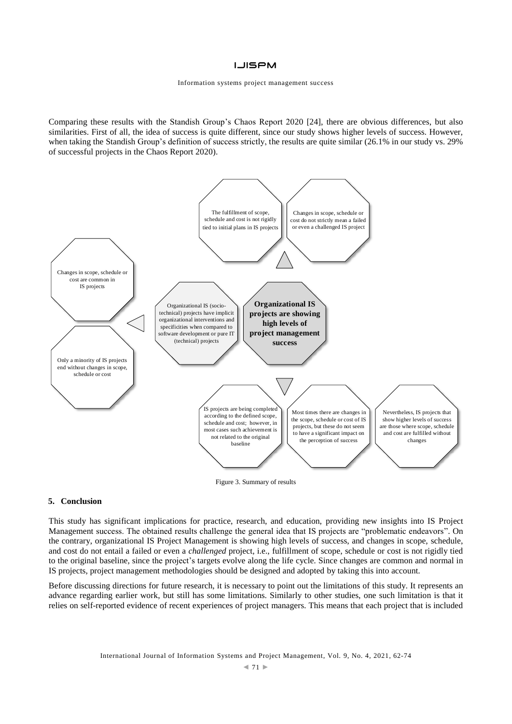Comparing these results with the Standish Group's Chaos Report 2020 [24], there are obvious differences, but also similarities. First of all, the idea of success is quite different, since our study shows higher levels of success. However, when taking the Standish Group's definition of success strictly, the results are quite similar (26.1% in our study vs. 29%) of successful projects in the Chaos Report 2020).



#### **5. Conclusion**

This study has significant implications for practice, research, and education, providing new insights into IS Project Management success. The obtained results challenge the general idea that IS projects are "problematic endeavors". On the contrary, organizational IS Project Management is showing high levels of success, and changes in scope, schedule, and cost do not entail a failed or even a *challenged* project, i.e., fulfillment of scope, schedule or cost is not rigidly tied to the original baseline, since the project's targets evolve along the life cycle. Since changes are common and normal in IS projects, project management methodologies should be designed and adopted by taking this into account.

Before discussing directions for future research, it is necessary to point out the limitations of this study. It represents an advance regarding earlier work, but still has some limitations. Similarly to other studies, one such limitation is that it relies on self-reported evidence of recent experiences of project managers. This means that each project that is included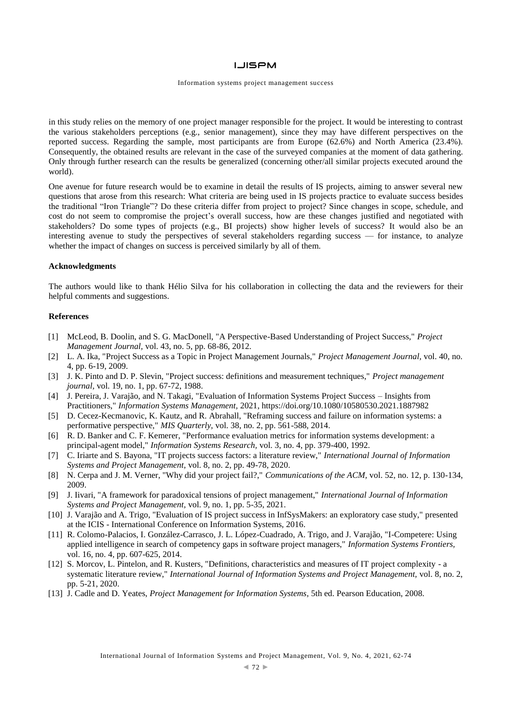#### Information systems project management success

in this study relies on the memory of one project manager responsible for the project. It would be interesting to contrast the various stakeholders perceptions (e.g., senior management), since they may have different perspectives on the reported success. Regarding the sample, most participants are from Europe (62.6%) and North America (23.4%). Consequently, the obtained results are relevant in the case of the surveyed companies at the moment of data gathering. Only through further research can the results be generalized (concerning other/all similar projects executed around the world).

One avenue for future research would be to examine in detail the results of IS projects, aiming to answer several new questions that arose from this research: What criteria are being used in IS projects practice to evaluate success besides the traditional "Iron Triangle"? Do these criteria differ from project to project? Since changes in scope, schedule, and cost do not seem to compromise the project's overall success, how are these changes justified and negotiated with stakeholders? Do some types of projects (e.g., BI projects) show higher levels of success? It would also be an interesting avenue to study the perspectives of several stakeholders regarding success — for instance, to analyze whether the impact of changes on success is perceived similarly by all of them.

#### **Acknowledgments**

The authors would like to thank Hélio Silva for his collaboration in collecting the data and the reviewers for their helpful comments and suggestions.

## **References**

- [1] McLeod, B. Doolin, and S. G. MacDonell, "A Perspective-Based Understanding of Project Success," *Project Management Journal,* vol. 43, no. 5, pp. 68-86, 2012.
- [2] L. A. Ika, "Project Success as a Topic in Project Management Journals," *Project Management Journal,* vol. 40, no. 4, pp. 6-19, 2009.
- [3] J. K. Pinto and D. P. Slevin, "Project success: definitions and measurement techniques," *Project management journal, vol.* 19, no. 1, pp. 67-72, 1988.
- [4] J. Pereira, J. Varajão, and N. Takagi, "Evaluation of Information Systems Project Success Insights from Practitioners," *Information Systems Management,* 2021, https://doi.org/10.1080/10580530.2021.1887982
- [5] D. Cecez-Kecmanovic, K. Kautz, and R. Abrahall, "Reframing success and failure on information systems: a performative perspective," *MIS Quarterly,* vol. 38, no. 2, pp. 561-588, 2014.
- [6] R. D. Banker and C. F. Kemerer, "Performance evaluation metrics for information systems development: a principal-agent model," *Information Systems Research,* vol. 3, no. 4, pp. 379-400, 1992.
- [7] C. Iriarte and S. Bayona, "IT projects success factors: a literature review," *International Journal of Information Systems and Project Management,* vol. 8, no. 2, pp. 49-78, 2020.
- [8] N. Cerpa and J. M. Verner, "Why did your project fail?," *Communications of the ACM,* vol. 52, no. 12, p. 130-134, 2009.
- [9] J. Iivari, "A framework for paradoxical tensions of project management," *International Journal of Information Systems and Project Management,* vol. 9, no. 1, pp. 5-35, 2021.
- [10] J. Varajão and A. Trigo, "Evaluation of IS project success in InfSysMakers: an exploratory case study," presented at the ICIS - International Conference on Information Systems, 2016.
- [11] R. Colomo-Palacios, I. González-Carrasco, J. L. López-Cuadrado, A. Trigo, and J. Varajão, "I-Competere: Using applied intelligence in search of competency gaps in software project managers," *Information Systems Frontiers,*  vol. 16, no. 4, pp. 607-625, 2014.
- [12] S. Morcov, L. Pintelon, and R. Kusters, "Definitions, characteristics and measures of IT project complexity a systematic literature review," *International Journal of Information Systems and Project Management,* vol. 8, no. 2, pp. 5-21, 2020.
- [13] J. Cadle and D. Yeates, *Project Management for Information Systems*, 5th ed. Pearson Education, 2008.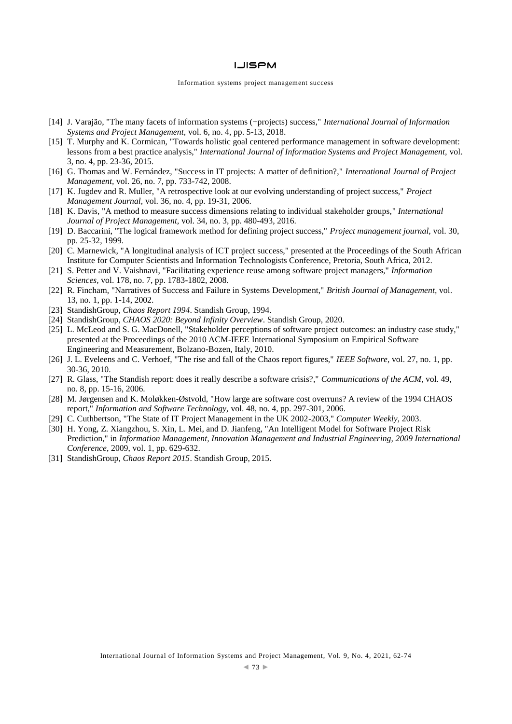- [14] J. Varajão, "The many facets of information systems (+projects) success," *International Journal of Information Systems and Project Management,* vol. 6, no. 4, pp. 5-13, 2018.
- [15] T. Murphy and K. Cormican, "Towards holistic goal centered performance management in software development: lessons from a best practice analysis," *International Journal of Information Systems and Project Management,* vol. 3, no. 4, pp. 23-36, 2015.
- [16] G. Thomas and W. Fernández, "Success in IT projects: A matter of definition?," *International Journal of Project Management,* vol. 26, no. 7, pp. 733-742, 2008.
- [17] K. Jugdev and R. Muller, "A retrospective look at our evolving understanding of project success," *Project Management Journal,* vol. 36, no. 4, pp. 19-31, 2006.
- [18] K. Davis, "A method to measure success dimensions relating to individual stakeholder groups," *International Journal of Project Management,* vol. 34, no. 3, pp. 480-493, 2016.
- [19] D. Baccarini, "The logical framework method for defining project success," *Project management journal,* vol. 30, pp. 25-32, 1999.
- [20] C. Marnewick, "A longitudinal analysis of ICT project success," presented at the Proceedings of the South African Institute for Computer Scientists and Information Technologists Conference, Pretoria, South Africa, 2012.
- [21] S. Petter and V. Vaishnavi, "Facilitating experience reuse among software project managers," *Information Sciences,* vol. 178, no. 7, pp. 1783-1802, 2008.
- [22] R. Fincham, "Narratives of Success and Failure in Systems Development," *British Journal of Management,* vol. 13, no. 1, pp. 1-14, 2002.
- [23] StandishGroup, *Chaos Report 1994*. Standish Group, 1994.
- [24] StandishGroup, *CHAOS 2020: Beyond Infinity Overview*. Standish Group, 2020.
- [25] L. McLeod and S. G. MacDonell, "Stakeholder perceptions of software project outcomes: an industry case study," presented at the Proceedings of the 2010 ACM-IEEE International Symposium on Empirical Software Engineering and Measurement, Bolzano-Bozen, Italy, 2010.
- [26] J. L. Eveleens and C. Verhoef, "The rise and fall of the Chaos report figures," *IEEE Software,* vol. 27, no. 1, pp. 30-36, 2010.
- [27] R. Glass, "The Standish report: does it really describe a software crisis?," *Communications of the ACM,* vol. 49, no. 8, pp. 15-16, 2006.
- [28] M. Jørgensen and K. Moløkken-Østvold, "How large are software cost overruns? A review of the 1994 CHAOS report," *Information and Software Technology,* vol. 48, no. 4, pp. 297-301, 2006.
- [29] C. Cuthbertson, "The State of IT Project Management in the UK 2002-2003," *Computer Weekly,* 2003.
- [30] H. Yong, Z. Xiangzhou, S. Xin, L. Mei, and D. Jianfeng, "An Intelligent Model for Software Project Risk Prediction," in *Information Management, Innovation Management and Industrial Engineering, 2009 International Conference*, 2009, vol. 1, pp. 629-632.
- [31] StandishGroup, *Chaos Report 2015*. Standish Group, 2015.